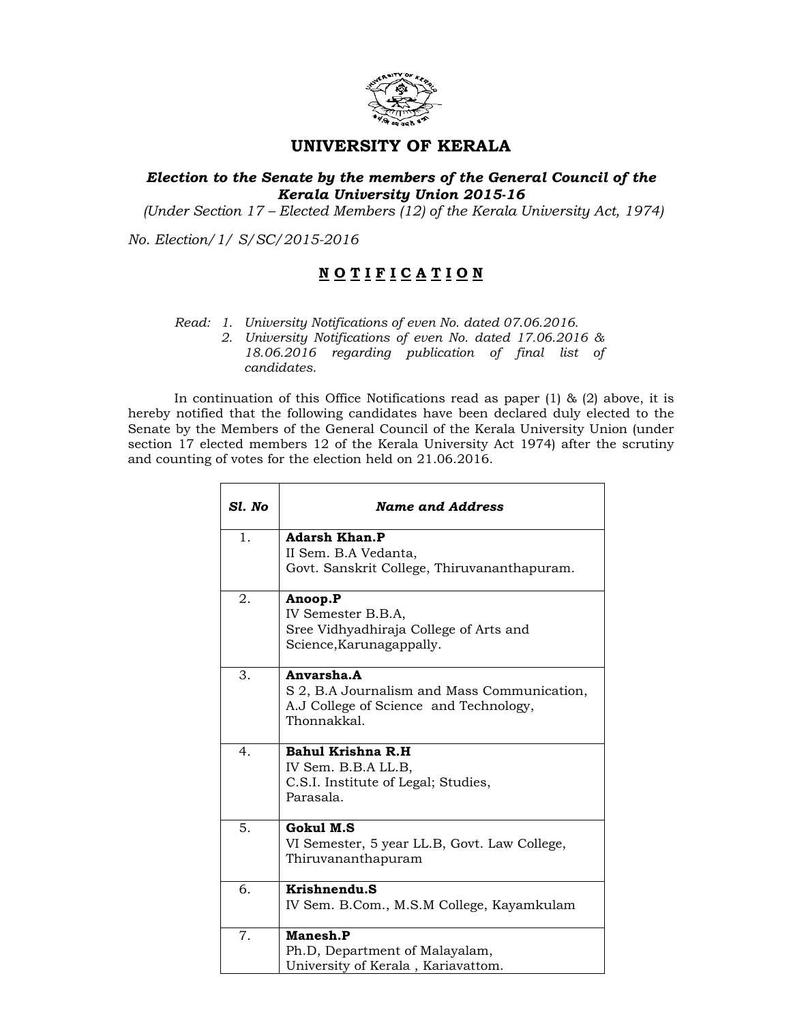

## UNIVERSITY OF KERALA

## Election to the Senate by the members of the General Council of the Kerala University Union 2015-16

(Under Section 17 – Elected Members (12) of the Kerala University Act, 1974)

No. Election/1/ S/SC/2015-2016

## NOTIFICATION

Read: 1. University Notifications of even No. dated 07.06.2016.

2. University Notifications of even No. dated 17.06.2016 & 18.06.2016 regarding publication of final list of candidates.

In continuation of this Office Notifications read as paper  $(1)$  &  $(2)$  above, it is hereby notified that the following candidates have been declared duly elected to the Senate by the Members of the General Council of the Kerala University Union (under section 17 elected members 12 of the Kerala University Act 1974) after the scrutiny and counting of votes for the election held on 21.06.2016.

| Sl. No | <b>Name and Address</b>                                                                                            |
|--------|--------------------------------------------------------------------------------------------------------------------|
| 1.     | <b>Adarsh Khan.P</b><br>II Sem. B.A Vedanta,<br>Govt. Sanskrit College, Thiruvananthapuram.                        |
| 2.     | Anoop.P<br>IV Semester B.B.A,<br>Sree Vidhyadhiraja College of Arts and<br>Science, Karunagappally.                |
| 3.     | Anvarsha.A<br>S 2, B.A Journalism and Mass Communication,<br>A.J College of Science and Technology,<br>Thonnakkal. |
| 4.     | Bahul Krishna R.H<br>IV Sem. B.B.A LL.B,<br>C.S.I. Institute of Legal; Studies,<br>Parasala.                       |
| 5.     | Gokul M.S.<br>VI Semester, 5 year LL.B, Govt. Law College,<br>Thiruvananthapuram                                   |
| 6.     | Krishnendu.S<br>IV Sem. B.Com., M.S.M College, Kayamkulam                                                          |
| 7.     | Manesh.P<br>Ph.D, Department of Malayalam,<br>University of Kerala, Kariavattom.                                   |